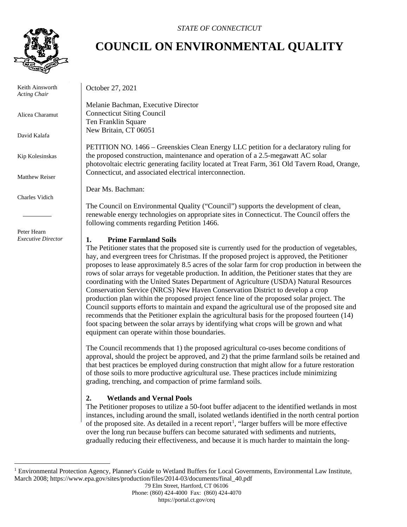

 Keith Ainsworth *Acting Chair*

Alicea Charamut

David Kalafa

Kip Kolesinskas

Matthew Reiser

Charles Vidich

 Peter Hearn *Executive Director*

### *STATE OF CONNECTICUT*

# **COUNCIL ON ENVIRONMENTAL QUALITY**

October 27, 2021

Melanie Bachman, Executive Director Connecticut Siting Council Ten Franklin Square New Britain, CT 06051

PETITION NO. 1466 – Greenskies Clean Energy LLC petition for a declaratory ruling for the proposed construction, maintenance and operation of a 2.5-megawatt AC solar photovoltaic electric generating facility located at Treat Farm, 361 Old Tavern Road, Orange, Connecticut, and associated electrical interconnection.

Dear Ms. Bachman:

The Council on Environmental Quality ("Council") supports the development of clean, renewable energy technologies on appropriate sites in Connecticut. The Council offers the following comments regarding Petition 1466.

#### **1. Prime Farmland Soils**

The Petitioner states that the proposed site is currently used for the production of vegetables, hay, and evergreen trees for Christmas. If the proposed project is approved, the Petitioner proposes to lease approximately 8.5 acres of the solar farm for crop production in between the rows of solar arrays for vegetable production. In addition, the Petitioner states that they are coordinating with the United States Department of Agriculture (USDA) Natural Resources Conservation Service (NRCS) New Haven Conservation District to develop a crop production plan within the proposed project fence line of the proposed solar project. The Council supports efforts to maintain and expand the agricultural use of the proposed site and recommends that the Petitioner explain the agricultural basis for the proposed fourteen (14) foot spacing between the solar arrays by identifying what crops will be grown and what equipment can operate within those boundaries.

The Council recommends that 1) the proposed agricultural co-uses become conditions of approval, should the project be approved, and 2) that the prime farmland soils be retained and that best practices be employed during construction that might allow for a future restoration of those soils to more productive agricultural use. These practices include minimizing grading, trenching, and compaction of prime farmland soils.

## **2. Wetlands and Vernal Pools**

The Petitioner proposes to utilize a 50-foot buffer adjacent to the identified wetlands in most instances, including around the small, isolated wetlands identified in the north central portion of the proposed site. As detailed in a recent report<sup>[1](#page-0-0)</sup>, "larger buffers will be more effective over the long run because buffers can become saturated with sediments and nutrients, gradually reducing their effectiveness, and because it is much harder to maintain the long-

<span id="page-0-0"></span><sup>&</sup>lt;sup>1</sup> Environmental Protection Agency, Planner's Guide to Wetland Buffers for Local Governments, Environmental Law Institute, March 2008; https://www.epa.gov/sites/production/files/2014-03/documents/final\_40.pdf

<sup>79</sup> Elm Street, Hartford, CT 06106

Phone: (860) 424-4000 Fax: (860) 424-4070 https://portal.ct.gov/ceq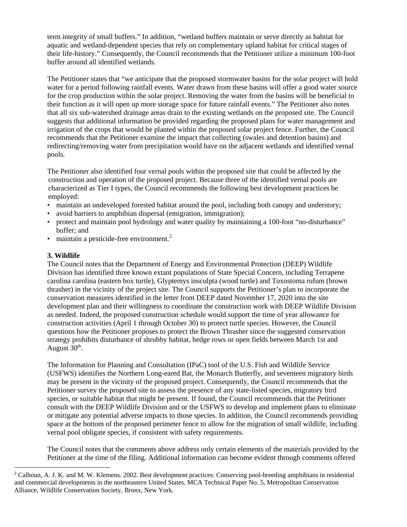term integrity of small buffers." In addition, "wetland buffers maintain or serve directly as habitat for aquatic and wetland-dependent species that rely on complementary upland habitat for critical stages of their life-history." Consequently, the Council recommends that the Petitioner utilize a minimum 100-foot buffer around all identified wetlands.

The Petitioner states that "we anticipate that the proposed stormwater basins for the solar project will hold water for a period following rainfall events. Water drawn from these basins will offer a good water source for the crop production within the solar project. Removing the water from the basins will be beneficial to their function as it will open up more storage space for future rainfall events." The Petitioner also notes that all six sub-watershed drainage areas drain to the existing wetlands on the proposed site. The Council suggests that additional information be provided regarding the proposed plans for water management and irrigation of the crops that would be planted within the proposed solar project fence. Further, the Council recommends that the Petitioner examine the impact that collecting (swales and detention basins) and redirecting/removing water from precipitation would have on the adjacent wetlands and identified vernal pools.

The Petitioner also identified four vernal pools within the proposed site that could be affected by the construction and operation of the proposed project. Because three of the identified vernal pools are characterized as Tier I types, the Council recommends the following best development practices be employed:

- maintain an undeveloped forested habitat around the pool, including both canopy and understory;
- avoid barriers to amphibian dispersal (emigration, immigration);
- protect and maintain pool hydrology and water quality by maintaining a 100-foot "no-disturbance" buffer; and
- maintain a pesticide-free environment.<sup>[2](#page-1-0)</sup>

#### **3. Wildlife**

The Council notes that the Department of Energy and Environmental Protection (DEEP) Wildlife Division has identified three known extant populations of State Special Concern, including Terrapene carolina carolina (eastern box turtle), Glyptemys insculpta (wood turtle) and Toxostoma rufum (brown thrasher) in the vicinity of the project site. The Council supports the Petitioner's plan to incorporate the conservation measures identified in the letter from DEEP dated November 17, 2020 into the site development plan and their willingness to coordinate the construction work with DEEP Wildlife Division as needed. Indeed, the proposed construction schedule would support the time of year allowance for construction activities (April 1 through October 30) to protect turtle species. However, the Council questions how the Petitioner proposes to protect the Brown Thrasher since the suggested conservation strategy prohibits disturbance of shrubby habitat, hedge rows or open fields between March 1st and August  $30<sup>th</sup>$ .

The Information for Planning and Consultation (IPaC) tool of the U.S. Fish and Wildlife Service (USFWS) identifies the Northern Long-eared Bat, the Monarch Butterfly, and seventeen migratory birds may be present in the vicinity of the proposed project. Consequently, the Council recommends that the Petitioner survey the proposed site to assess the presence of any state-listed species, migratory bird species, or suitable habitat that might be present. If found, the Council recommends that the Petitioner consult with the DEEP Wildlife Division and or the USFWS to develop and implement plans to eliminate or mitigate any potential adverse impacts to those species. In addition, the Council recommends providing space at the bottom of the proposed perimeter fence to allow for the migration of small wildlife, including vernal pool obligate species, if consistent with safety requirements.

The Council notes that the comments above address only certain elements of the materials provided by the Petitioner at the time of the filing. Additional information can become evident through comments offered

<span id="page-1-0"></span><sup>&</sup>lt;sup>2</sup> Calhoun, A. J. K. and M. W. Klemens. 2002. Best development practices: Conserving pool-breeding amphibians in residential and commercial developments in the northeastern United States. MCA Technical Paper No. 5, Metropolitan Conservation Alliance, Wildlife Conservation Society, Bronx, New York.